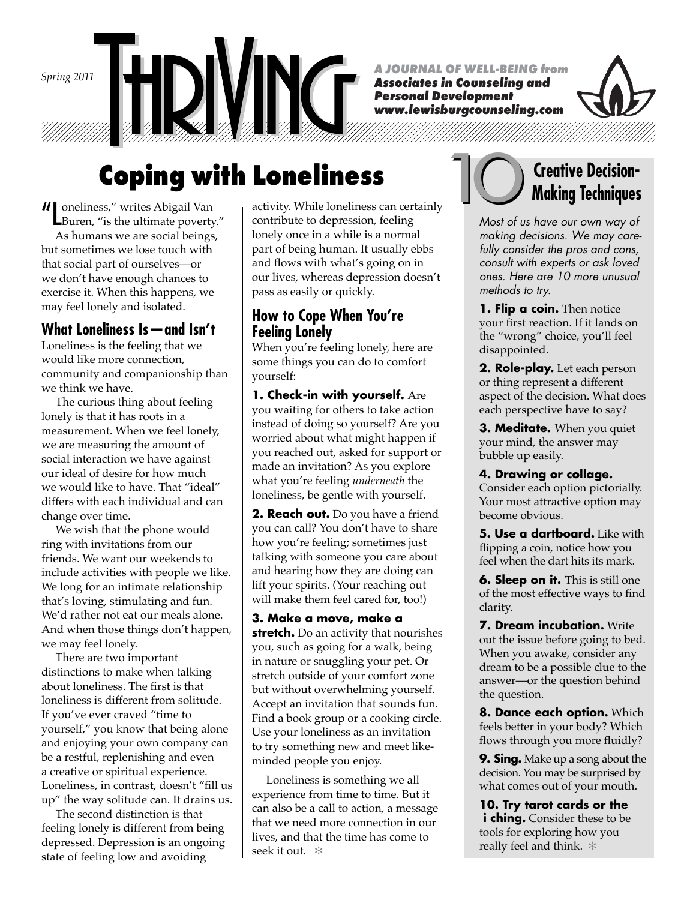*Spring 2011*

*A JOURNAL OF WELL-BEING from*

*Associates in Counseling and Personal Development www.lewisburgcounseling.com*



# **Coping with Loneliness**

"Loneliness," writes Abigail Van Buren, "is the ultimate poverty."

 As humans we are social beings, but sometimes we lose touch with that social part of ourselves—or we don't have enough chances to exercise it. When this happens, we may feel lonely and isolated.

## **What Loneliness Is—and Isn't**

Loneliness is the feeling that we would like more connection, community and companionship than we think we have.

 The curious thing about feeling lonely is that it has roots in a measurement. When we feel lonely, we are measuring the amount of social interaction we have against our ideal of desire for how much we would like to have. That "ideal" differs with each individual and can change over time.

 We wish that the phone would ring with invitations from our friends. We want our weekends to include activities with people we like. We long for an intimate relationship that's loving, stimulating and fun. We'd rather not eat our meals alone. And when those things don't happen, we may feel lonely.

 There are two important distinctions to make when talking about loneliness. The first is that loneliness is different from solitude. If you've ever craved "time to yourself," you know that being alone and enjoying your own company can be a restful, replenishing and even a creative or spiritual experience. Loneliness, in contrast, doesn't "fill us up" the way solitude can. It drains us.

 The second distinction is that feeling lonely is different from being depressed. Depression is an ongoing state of feeling low and avoiding

contribute to depression, feeling lonely once in a while is a normal part of being human. It usually ebbs and flows with what's going on in our lives, whereas depression doesn't pass as easily or quickly.

### **How to Cope When You're Feeling Lonely**

When you're feeling lonely, here are some things you can do to comfort yourself:

**1. Check-in with yourself.** Are you waiting for others to take action instead of doing so yourself? Are you worried about what might happen if you reached out, asked for support or made an invitation? As you explore what you're feeling *underneath* the loneliness, be gentle with yourself.

**2. Reach out.** Do you have a friend you can call? You don't have to share how you're feeling; sometimes just talking with someone you care about and hearing how they are doing can lift your spirits. (Your reaching out will make them feel cared for, too!)

**3. Make a move, make a stretch.** Do an activity that nourishes you, such as going for a walk, being in nature or snuggling your pet. Or stretch outside of your comfort zone but without overwhelming yourself. Accept an invitation that sounds fun. Find a book group or a cooking circle. Use your loneliness as an invitation to try something new and meet likeminded people you enjoy.

 Loneliness is something we all experience from time to time. But it can also be a call to action, a message that we need more connection in our lives, and that the time has come to seek it out. ✻



# 10**Creative Decision**activity. While loneliness can certainly **Muslim Techniques**

*Most of us have our own way of making decisions. We may carefully consider the pros and cons, consult with experts or ask loved ones. Here are 10 more unusual methods to try.* 

**1. Flip a coin.** Then notice your first reaction. If it lands on the "wrong" choice, you'll feel disappointed.

**2. Role-play.** Let each person or thing represent a different aspect of the decision. What does each perspective have to say?

**3. Meditate.** When you quiet your mind, the answer may bubble up easily.

**4. Drawing or collage.**  Consider each option pictorially. Your most attractive option may become obvious.

**5. Use a dartboard.** Like with flipping a coin, notice how you feel when the dart hits its mark.

**6. Sleep on it.** This is still one of the most effective ways to find clarity.

**7. Dream incubation.** Write out the issue before going to bed. When you awake, consider any dream to be a possible clue to the answer—or the question behind the question.

**8. Dance each option.** Which feels better in your body? Which flows through you more fluidly?

**9. Sing.** Make up a song about the decision. You may be surprised by what comes out of your mouth.

**10. Try tarot cards or the** *i* **ching.** Consider these to be tools for exploring how you really feel and think. ✻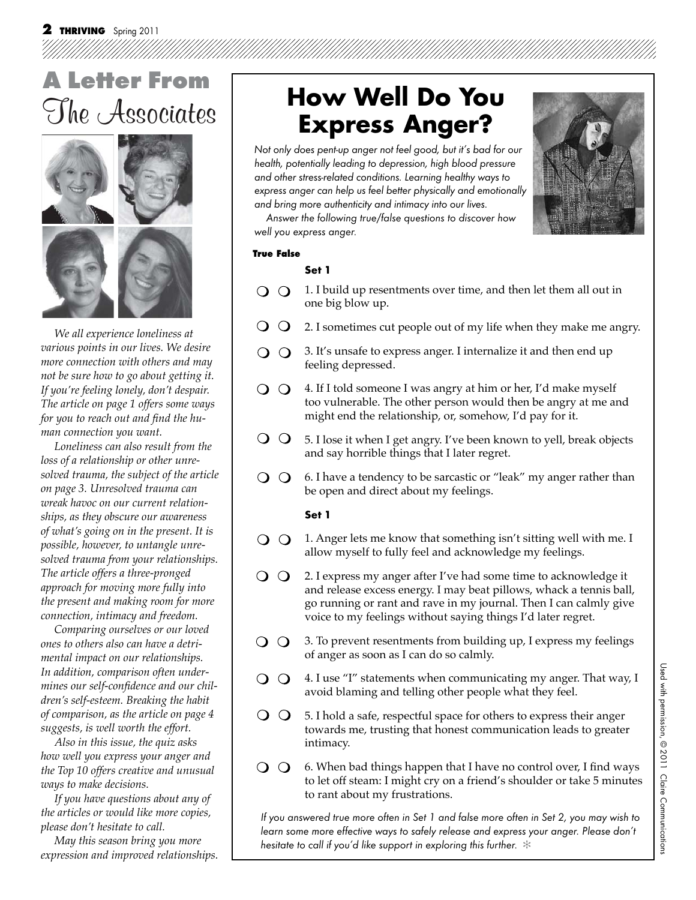# **Letter From** The Associates



*We all experience loneliness at various points in our lives. We desire more connection with others and may not be sure how to go about getting it. If you're feeling lonely, don't despair. The article on page 1 offers some ways*  for you to reach out and find the hu*man connection you want.*

*Loneliness can also result from the loss of a relationship or other unresolved trauma, the subject of the article on page 3. Unresolved trauma can wreak havoc on our current relationships, as they obscure our awareness of what's going on in the present. It is possible, however, to untangle unresolved trauma from your relationships. The article offers a three-pronged approach for moving more fully into the present and making room for more connection, intimacy and freedom.*

*Comparing ourselves or our loved ones to others also can have a detrimental impact on our relationships. In addition, comparison often under*mines our self-confidence and our chil*dren's self-esteem. Breaking the habit of comparison, as the article on page 4 suggests, is well worth the effort.* 

*Also in this issue, the quiz asks how well you express your anger and the Top 10 offers creative and unusual ways to make decisions.* 

*If you have questions about any of the articles or would like more copies, please don't hesitate to call.*

*May this season bring you more expression and improved relationships.*

# **How Well Do You Express Anger?**

 Not only does pent-up anger not feel good, but it's bad for our health, potentially leading to depression, high blood pressure and other stress-related conditions. Learning healthy ways to express anger can help us feel better physically and emotionally and bring more authenticity and intimacy into our lives.



 Answer the following true/false questions to discover how well you express anger.

#### **True False**

#### **Set 1**

- 1. I build up resentments over time, and then let them all out in  $\overline{O}$   $\overline{O}$ one big blow up.
- $\overline{O}$ 2. I sometimes cut people out of my life when they make me angry.
- 3. It's unsafe to express anger. I internalize it and then end up  $\overline{O}$   $\overline{O}$ feeling depressed.
- $O$   $O$ 4. If I told someone I was angry at him or her, I'd make myself too vulnerable. The other person would then be angry at me and might end the relationship, or, somehow, I'd pay for it.
- $\overline{O}$   $\overline{O}$ 5. I lose it when I get angry. I've been known to yell, break objects and say horrible things that I later regret.
- 6. I have a tendency to be sarcastic or "leak" my anger rather than  $\Omega$ be open and direct about my feelings.

#### **Set 1**

- 1. Anger lets me know that something isn't sitting well with me. I  $\Omega$ allow myself to fully feel and acknowledge my feelings.
- $\Omega$ 2. I express my anger after I've had some time to acknowledge it and release excess energy. I may beat pillows, whack a tennis ball, go running or rant and rave in my journal. Then I can calmly give voice to my feelings without saying things I'd later regret.
- 3. To prevent resentments from building up, I express my feelings  $\Omega$ of anger as soon as I can do so calmly.
- $O$   $O$ 4. I use "I" statements when communicating my anger. That way, I avoid blaming and telling other people what they feel.
- $\Omega$ 5. I hold a safe, respectful space for others to express their anger towards me, trusting that honest communication leads to greater intimacy.
- $\Omega$ 6. When bad things happen that I have no control over, I find ways to let off steam: I might cry on a friend's shoulder or take 5 minutes to rant about my frustrations.

If you answered true more often in Set 1 and false more often in Set 2, you may wish to learn some more effective ways to safely release and express your anger. Please don't hesitate to call if you'd like support in exploring this further.  $*$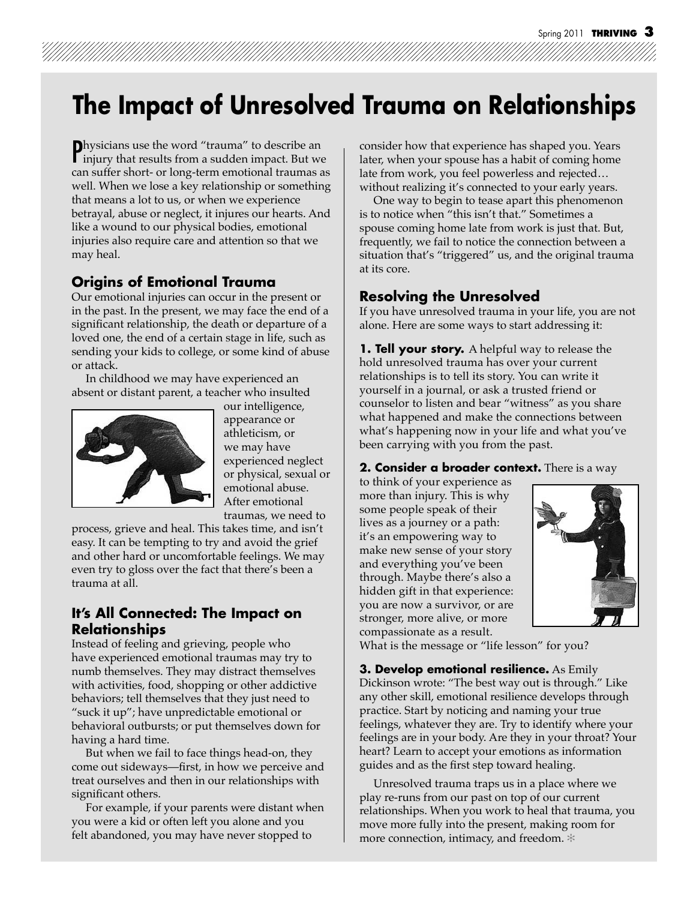# **The Impact of Unresolved Trauma on Relationships**

**Physicians use the word "trauma" to describe an injury that results from a sudden impact. But we** injury that results from a sudden impact. But we can suffer short- or long-term emotional traumas as well. When we lose a key relationship or something that means a lot to us, or when we experience betrayal, abuse or neglect, it injures our hearts. And like a wound to our physical bodies, emotional injuries also require care and attention so that we may heal.

### **Origins of Emotional Trauma**

Our emotional injuries can occur in the present or in the past. In the present, we may face the end of a significant relationship, the death or departure of a loved one, the end of a certain stage in life, such as sending your kids to college, or some kind of abuse or attack.

 In childhood we may have experienced an absent or distant parent, a teacher who insulted



our intelligence, appearance or athleticism, or we may have experienced neglect or physical, sexual or emotional abuse. After emotional traumas, we need to

process, grieve and heal. This takes time, and isn't easy. It can be tempting to try and avoid the grief and other hard or uncomfortable feelings. We may even try to gloss over the fact that there's been a trauma at all.

### **It's All Connected: The Impact on Relationships**

Instead of feeling and grieving, people who have experienced emotional traumas may try to numb themselves. They may distract themselves with activities, food, shopping or other addictive behaviors; tell themselves that they just need to "suck it up"; have unpredictable emotional or behavioral outbursts; or put themselves down for having a hard time.

 But when we fail to face things head-on, they come out sideways—first, in how we perceive and treat ourselves and then in our relationships with significant others.

 For example, if your parents were distant when you were a kid or often left you alone and you felt abandoned, you may have never stopped to

consider how that experience has shaped you. Years later, when your spouse has a habit of coming home late from work, you feel powerless and rejected… without realizing it's connected to your early years.

 One way to begin to tease apart this phenomenon is to notice when "this isn't that." Sometimes a spouse coming home late from work is just that. But, frequently, we fail to notice the connection between a situation that's "triggered" us, and the original trauma at its core.

### **Resolving the Unresolved**

If you have unresolved trauma in your life, you are not alone. Here are some ways to start addressing it:

**1. Tell your story.** A helpful way to release the hold unresolved trauma has over your current relationships is to tell its story. You can write it yourself in a journal, or ask a trusted friend or counselor to listen and bear "witness" as you share what happened and make the connections between what's happening now in your life and what you've been carrying with you from the past.

#### **2. Consider a broader context.** There is a way

to think of your experience as more than injury. This is why some people speak of their lives as a journey or a path: it's an empowering way to make new sense of your story and everything you've been through. Maybe there's also a hidden gift in that experience: you are now a survivor, or are stronger, more alive, or more compassionate as a result.



What is the message or "life lesson" for you?

**3. Develop emotional resilience.** As Emily Dickinson wrote: "The best way out is through." Like any other skill, emotional resilience develops through practice. Start by noticing and naming your true feelings, whatever they are. Try to identify where your feelings are in your body. Are they in your throat? Your heart? Learn to accept your emotions as information guides and as the first step toward healing.

 Unresolved trauma traps us in a place where we play re-runs from our past on top of our current relationships. When you work to heal that trauma, you move more fully into the present, making room for more connection, intimacy, and freedom. ✻